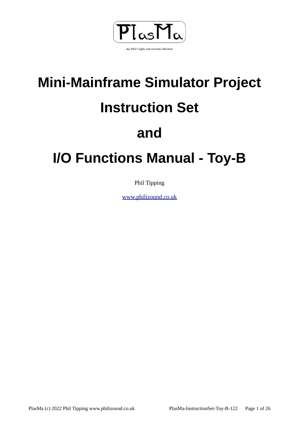

# **Mini-Mainframe Simulator Project Instruction Set**

# **and**

# **I/O Functions Manual - Toy-B**

Phil Tipping

[www.philizound.co.uk](http://www.philizound.co.uk/)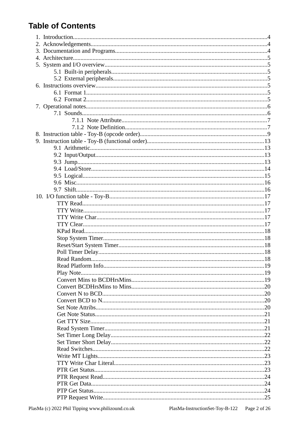# **Table of Contents**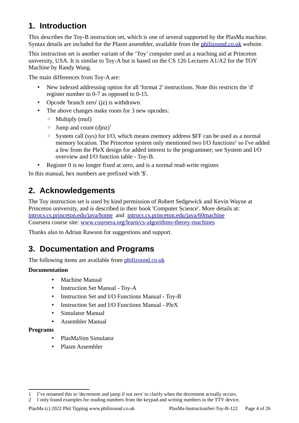# <span id="page-3-2"></span>**1. Introduction**

This describes the Toy-B instruction set, which is one of several supported by the PlasMa machine. Syntax details are included for the Plasm assembler, available from the [philizound.co.uk](http://www.philizound.co.uk/) website.

This instruction set is another variant of the 'Toy' computer used as a teaching aid at Princeton university, USA. It is similar to Toy-A but is based on the CS 126 Lectures A1/A2 for the TOY Machine by Randy Wang.

The main differences from Toy-A are:

- New indexed addressing option for all 'format 2' instructions. Note this restricts the 'd' register number to 0-7 as opposed to 0-15.
- Opcode 'branch zero' (iz) is withdrawn.
- The above changes make room for 3 new opcodes:
	- Multiply (mul)
	- $\circ$  Jump and count (djnz)<sup>[1](#page-3-3)</sup>
	- System call (sys) for I/O, which means memory address \$FF can be used as a normal memory location. The Princeton system only mentioned two I/O functions<sup>[2](#page-3-4)</sup> so I've added a few from the PleX design for added interest to the programmer; see [System and I/O](#page-4-5)  [overview](#page-4-5) and [I/O function table - Toy-B](#page-16-4).
- Register 0 is no longer fixed at zero, and is a normal read-write register.

In this manual, hex numbers are prefixed with '\$'.

#### <span id="page-3-1"></span>**2. Acknowledgements**

The Toy instruction set is used by kind permission of Robert Sedgewick and Kevin Wayne at Princeton university, and is described in their book 'Computer Science'. More details at: [introcs.cs.princeton.edu/java/home](https://introcs.cs.princeton.edu/java/home) and [introcs.cs.princeton.edu/java/60machine](https://introcs.cs.princeton.edu/java/60machine) Coursera course site: [www.coursera.org/learn/cs-algorithms-theory-machines](https://www.coursera.org/learn/cs-algorithms-theory-machines)

Thanks also to Adrian Rawson for suggestions and support.

#### <span id="page-3-0"></span>**3. Documentation and Programs**

The following items are available from [philizound.co.uk](http://www.philizound.co.uk/)

#### **Documentation**

- Machine Manual
- Instruction Set Manual Toy-A
- Instruction Set and I/O Functions Manual Tov-B
- Instruction Set and I/O Functions Manual PleX
- Simulator Manual
- Assembler Manual

#### **Programs**

- PlasMaSim Simulator
- Plasm Assembler

<span id="page-3-3"></span><sup>1</sup> I've renamed this to 'decrement and jump if not zero' to clarify when the decrement actually occurs.

<span id="page-3-4"></span><sup>2</sup> I only found examples for reading numbers from the keypad and writing numbers to the TTY device.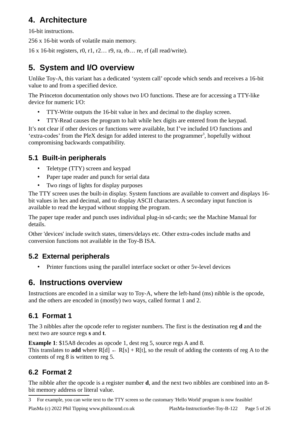## <span id="page-4-6"></span>**4. Architecture**

16-bit instructions.

256 x 16-bit words of volatile main memory.

16 x 16-bit registers, r0, r1, r2… r9, ra, rb… re, rf (all read/write).

# <span id="page-4-5"></span>**5. System and I/O overview**

Unlike Toy-A, this variant has a dedicated 'system call' opcode which sends and receives a 16-bit value to and from a specified device.

The Princeton documentation only shows two I/O functions. These are for accessing a TTY-like device for numeric I/O:

- TTY-Write outputs the 16-bit value in hex and decimal to the display screen.
- TTY-Read causes the program to halt while hex digits are entered from the keypad.

It's not clear if other devices or functions were available, but I've included I/O functions and 'extra-codes' from the PleX design for added interest to the programmer<sup>[3](#page-4-7)</sup>, hopefully without compromising backwards compatibility.

## **5.1 Built-in peripherals**

- <span id="page-4-4"></span>• Teletype (TTY) screen and keypad
- Paper tape reader and punch for serial data
- Two rings of lights for display purposes

The TTY screen uses the built-in display. System functions are available to convert and displays 16 bit values in hex and decimal, and to display ASCII characters. A secondary input function is available to read the keypad without stopping the program.

The paper tape reader and punch uses individual plug-in sd-cards; see the Machine Manual for details.

Other 'devices' include switch states, timers/delays etc. Other extra-codes include maths and conversion functions not available in the Toy-B ISA.

## **5.2 External peripherals**

<span id="page-4-3"></span>• Printer functions using the parallel interface socket or other 5v-level devices

# <span id="page-4-2"></span>**6. Instructions overview**

Instructions are encoded in a similar way to Toy-A, where the left-hand (ms) nibble is the opcode, and the others are encoded in (mostly) two ways, called format 1 and 2.

# <span id="page-4-1"></span>**6.1 Format 1**

The 3 nibbles after the opcode refer to register numbers. The first is the destination reg **d** and the next two are source regs **s** and **t**.

**Example 1**: \$15A8 decodes as opcode 1, dest reg 5, source regs A and 8. This translates to **add** where  $R[d] \leftarrow R[s] + R[t]$ , so the result of adding the contents of reg A to the contents of reg 8 is written to reg 5.

# <span id="page-4-0"></span>**6.2 Format 2**

The nibble after the opcode is a register number **d**, and the next two nibbles are combined into an 8 bit memory address or literal value.

<span id="page-4-7"></span>3 For example, you can write text to the TTY screen so the customary 'Hello World' program is now feasible!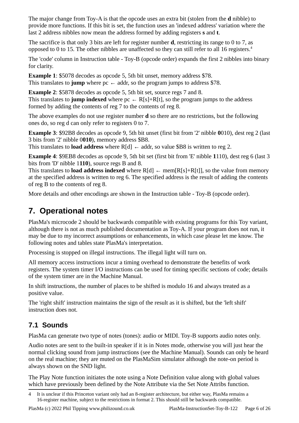The major change from Toy-A is that the opcode uses an extra bit (stolen from the **d** nibble) to provide more functions. If this bit is set, the function uses an 'indexed address' variation where the last 2 address nibbles now mean the address formed by adding registers **s** and **t**.

The sacrifice is that only 3 bits are left for register number **d**, restricting its range to 0 to 7, as opposed to 0 to 15. The other nibbles are unaffected so they can still refer to all 16 registers.<sup>[4](#page-5-2)</sup>

The 'code' column in [Instruction table - Toy-B \(opcode order\)](#page-8-0) expands the first 2 nibbles into binary for clarity.

**Example 1**: \$5078 decodes as opcode 5, 5th bit unset, memory address \$78. This translates to **jump** where  $pc \leftarrow addr$ , so the program jumps to address \$78.

**Example 2**: \$5878 decodes as opcode 5, 5th bit set, source regs 7 and 8. This translates to **jump indexed** where  $pc \leftarrow R[s]+R[t]$ , so the program jumps to the address formed by adding the contents of reg 7 to the contents of reg 8.

The above examples do not use register number **d** so there are no restrictions, but the following ones do, so reg d can only refer to registers 0 to 7.

**Example 3**: \$92B8 decodes as opcode 9, 5th bit unset (first bit from '2' nibble **0**010), dest reg 2 (last 3 bits from '2' nibble 0**010**), memory address \$B8.

This translates to **load address** where  $R[d] \leftarrow$  addr, so value \$B8 is written to reg 2.

**Example 4**: \$9EB8 decodes as opcode 9, 5th bit set (first bit from 'E' nibble **1**110), dest reg 6 (last 3 bits from 'D' nibble 1**110**), source regs B and 8.

This translates to **load address indexed** where  $R[d] \leftarrow \text{mem}[R[s]+R[t]]$ , so the value from memory at the specified address is written to reg 6. The specified address is the result of adding the contents of reg B to the contents of reg 8.

More details and other encodings are shown in the [Instruction table - Toy-B \(opcode order\)](#page-8-0).

# <span id="page-5-1"></span>**7. Operational notes**

PlasMa's microcode 2 should be backwards compatible with existing programs for this Toy variant, although there is not as much published documentation as Toy-A. If your program does not run, it may be due to my incorrect assumptions or enhancements, in which case please let me know. The following notes and tables state PlasMa's interpretation.

Processing is stopped on illegal instructions. The illegal light will turn on.

All memory access instructions incur a timing overhead to demonstrate the benefits of work registers. The system timer I/O instructions can be used for timing specific sections of code; details of the system timer are in the Machine Manual.

In shift instructions, the number of places to be shifted is modulo 16 and always treated as a positive value.

The 'right shift' instruction maintains the sign of the result as it is shifted, but the 'left shift' instruction does not.

#### <span id="page-5-0"></span>**7.1 Sounds**

PlasMa can generate two type of notes (tones): audio or MIDI. Toy-B supports audio notes only.

Audio notes are sent to the built-in speaker if it is in Notes mode, otherwise you will just hear the normal clicking sound from jump instructions (see the Machine Manual). Sounds can only be heard on the real machine; they are muted on the PlasMaSim simulator although the note-on period is always shown on the SND light.

The [Play Note](#page-18-1) function initiates the note using a [Note Definition](#page-6-0) value along with global values which have previously been defined by the [Note Attribute](#page-6-1) via the [Set Note Attribs](#page-19-0) function.

<span id="page-5-2"></span><sup>4</sup> It is unclear if this Princeton variant only had an 8-register architecture, but either way, PlasMa remains a 16-register machine, subject to the restrictions in format 2. This should still be backwards compatible.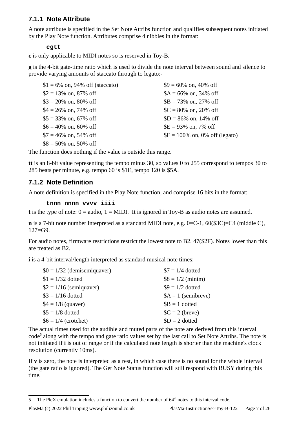#### <span id="page-6-1"></span>**7.1.1 Note Attribute**

A note attribute is specified in the [Set Note Attribs](#page-19-0) function and qualifies subsequent notes initiated by the [Play Note](#page-18-1) function. Attributes comprise 4 nibbles in the format:

#### **cgtt**

**c** is only applicable to MIDI notes so is reserved in Toy-B.

**g** is the 4-bit gate-time ratio which is used to divide the note interval between sound and silence to provide varying amounts of staccato through to legato:-

| $$1 = 6\%$ on, 94% off (staccato) | $$9 = 60\%$ on, 40\% off        |
|-----------------------------------|---------------------------------|
| $$2 = 13\%$ on, 87% off           | $A = 66\%$ on, 34% off          |
| $$3 = 20\%$ on, 80% off           | $$B = 73\%$ on, 27\% off        |
| $$4 = 26\%$ on, 74\% off          | $C = 80\%$ on, 20% off          |
| \$5 = 33% on, 67% off             | $SD = 86\%$ on, 14\% off        |
| $$6 = 40\%$ on, 60% off           | $E = 93\%$ on, 7% off           |
| $$7 = 46\%$ on, 54% off           | $F = 100\%$ on, 0% off (legato) |
| $$8 = 50\%$ on, 50% off           |                                 |

The function does nothing if the value is outside this range.

**tt** is an 8-bit value representing the tempo minus 30, so values 0 to 255 correspond to tempos 30 to 285 beats per minute, e.g. tempo 60 is \$1E, tempo 120 is \$5A.

#### <span id="page-6-0"></span>**7.1.2 Note Definition**

A note definition is specified in the [Play Note](#page-18-1) function, and comprise 16 bits in the format:

#### **tnnn nnnn vvvv iiii**

**t** is the type of note: 0 = audio, 1 = MIDI. It is ignored in Toy-B as audio notes are assumed.

**n** is a 7-bit note number interpreted as a standard MIDI note, e.g. 0=C-1, 60(\$3C)=C4 (middle C),  $127 = G.9$ .

For audio notes, firmware restrictions restrict the lowest note to B2, 47(\$2F). Notes lower than this are treated as B2.

**i** is a 4-bit interval/length interpreted as standard musical note times:-

| $$0 = 1/32$ (demisemiquaver) | $$7 = 1/4$ dotted   |
|------------------------------|---------------------|
| $$1 = 1/32$ dotted           | $$8 = 1/2$ (minim)  |
| $$2 = 1/16$ (semiquaver)     | $$9 = 1/2$ dotted   |
| $$3 = 1/16$ dotted           | $A = 1$ (semibreve) |
| $$4 = 1/8$ (quaver)          | $$B = 1$ dotted     |
| $$5 = 1/8$ dotted            | $C = 2$ (breve)     |
| $$6 = 1/4$ (crotchet)        | $SD = 2$ dotted     |
|                              |                     |

The actual times used for the audible and muted parts of the note are derived from this interval code<sup>[5](#page-6-2)</sup> along with the tempo and gate ratio values set by the last call to [Set Note Attribs](#page-19-0). The note is not initiated if **i** is out of range or if the calculated note length is shorter than the machine's clock resolution (currently 10ms).

If **v** is zero, the note is interpreted as a rest, in which case there is no sound for the whole interval (the gate ratio is ignored). The [Get Note Status](#page-20-2) function will still respond with BUSY during this time.

PlasMa (c) 2022 Phil Tipping www.philizound.co.uk PlasMa-InstructionSet-Toy-B-122 Page 7 of 26

<span id="page-6-2"></span><sup>5</sup> The PleX emulation includes a function to convert the number of  $64<sup>th</sup>$  notes to this interval code.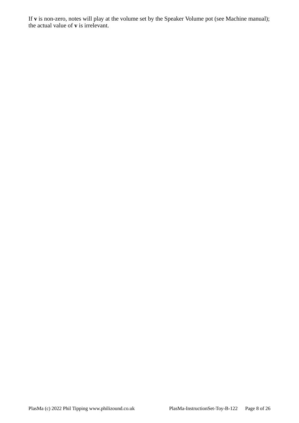If **v** is non-zero, notes will play at the volume set by the Speaker Volume pot (see Machine manual); the actual value of **v** is irrelevant.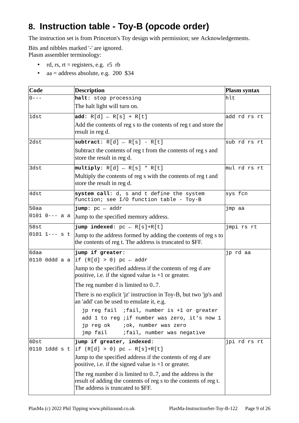# <span id="page-8-0"></span>**8. Instruction table - Toy-B (opcode order)**

The instruction set is from Princeton's Toy design with permission; see [Acknowledgements.](#page-3-1)

Bits and nibbles marked '-' are ignored. Plasm assembler terminology:

- rd, rs,  $rt =$  registers, e.g. r5 rb
- aa = address absolute, e.g. 200 \$34

| Code              | <b>Description</b>                                                                                                                                                            | <b>Plasm syntax</b> |
|-------------------|-------------------------------------------------------------------------------------------------------------------------------------------------------------------------------|---------------------|
| $0 - - -$         | halt: stop processing                                                                                                                                                         | hlt                 |
|                   | The halt light will turn on.                                                                                                                                                  |                     |
| 1dst              | add: $R[d] \leftarrow R[s] + R[t]$                                                                                                                                            | add rd rs rt        |
|                   | Add the contents of reg s to the contents of reg t and store the<br>result in reg d.                                                                                          |                     |
| 2dst              | subtract: $R[d] \leftarrow R[s] - R[t]$                                                                                                                                       | sub rd rs rt        |
|                   | Subtract the contents of reg t from the contents of reg s and<br>store the result in reg d.                                                                                   |                     |
| 3dst              | multiply: $R[d] \leftarrow R[s] * R[t]$                                                                                                                                       | $\ln U$ rd rs rt    |
|                   | Multiply the contents of reg s with the contents of reg t and<br>store the result in reg d.                                                                                   |                     |
| 4dst              | system call: d, s and t define the system<br>function; see I/O function table - Toy-B                                                                                         | sys fcn             |
| 50aa              | jump: $pc \leftarrow addr$                                                                                                                                                    | jmp aa              |
| $0101$ $0---$ a a | Jump to the specified memory address.                                                                                                                                         |                     |
| 58st              | jump indexed: $pc \leftarrow R[s]+R[t]$                                                                                                                                       | jmpi rs rt          |
| $0101$ 1--- s t   | Jump to the address formed by adding the contents of reg s to<br>the contents of reg t. The address is truncated to \$FF.                                                     |                     |
| 6daa              | jump if greater:<br>0110 Oddd a a  if (R[d] > 0) pc $\leftarrow$ addr                                                                                                         | jp rd aa            |
|                   | Jump to the specified address if the contents of reg d are<br>positive, i.e. if the signed value is $+1$ or greater.                                                          |                     |
|                   | The reg number d is limited to 07.                                                                                                                                            |                     |
|                   | There is no explicit 'jz' instruction in Toy-B, but two 'jp's and<br>an 'add' can be used to emulate it, e.g.                                                                 |                     |
|                   | jp reg fail ; fail, number is +1 or greater<br>add 1 to reg ; if number was zero, it's now 1<br>; ok, number was zero<br>jp reg ok<br>jmp fail<br>; fail, number was negative |                     |
| 6Dst              | jump if greater, indexed:                                                                                                                                                     | jpi rd rs rt        |
|                   | 0110 1ddd s t  if (R[d] > 0) pc $\leftarrow$ R[s]+R[t]                                                                                                                        |                     |
|                   | Jump to the specified address if the contents of reg d are<br>positive, i.e. if the signed value is $+1$ or greater.                                                          |                     |
|                   | The reg number $d$ is limited to 07, and the address is the<br>result of adding the contents of reg s to the contents of reg t.<br>The address is truncated to \$FF.          |                     |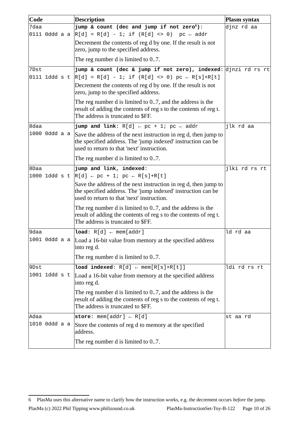| Code                  | <b>Description</b>                                                                                                                                                                                                                           | Plasm syntax             |
|-----------------------|----------------------------------------------------------------------------------------------------------------------------------------------------------------------------------------------------------------------------------------------|--------------------------|
| 7daa                  | jump & count (dec and jump if not zero <sup>6</sup> ):                                                                                                                                                                                       | $\overline{d}$ inz rd aa |
| 0111 Oddd a a         | $ R[d] = R[d] - 1$ ; if $(R[d] \le 0)$ pc $\leftarrow$ addr                                                                                                                                                                                  |                          |
|                       | Decrement the contents of reg d by one. If the result is not<br>zero, jump to the specified address.                                                                                                                                         |                          |
|                       | The reg number d is limited to 07.                                                                                                                                                                                                           |                          |
| 7Dst<br>0111 1ddd s t | jump & count (dec & jump if not zero), indexed: djnzi rd rs rt<br>$ R[d] = R[d] - 1;$ if $(R[d] \iff 0)$ pc $\leftarrow R[s] + R[t]$<br>Decrement the contents of reg d by one. If the result is not<br>zero, jump to the specified address. |                          |
|                       | The reg number d is limited to 07, and the address is the<br>result of adding the contents of reg s to the contents of reg t.<br>The address is truncated to \$FF.                                                                           |                          |
| 8daa                  | jump and link: $R[d] \leftarrow pc + 1$ ; $pc \leftarrow addr$                                                                                                                                                                               | jlk rd aa                |
| 1000 0ddd a a         | Save the address of the next instruction in reg d, then jump to<br>the specified address. The 'jump indexed' instruction can be<br>used to return to that 'next' instruction.                                                                |                          |
|                       | The reg number d is limited to 07.                                                                                                                                                                                                           |                          |
| 8Daa                  | jump and link, indexed:                                                                                                                                                                                                                      | jlki rd rs rt            |
| 1000 1ddd s t         | $R[d] \leftarrow pc + 1$ ; $pc \leftarrow R[s] + R[t]$                                                                                                                                                                                       |                          |
|                       | Save the address of the next instruction in reg d, then jump to<br>the specified address. The 'jump indexed' instruction can be<br>used to return to that 'next' instruction.                                                                |                          |
|                       | The reg number d is limited to 07, and the address is the<br>result of adding the contents of reg s to the contents of reg t.<br>The address is truncated to \$FF.                                                                           |                          |
| 9daa                  | <b>load:</b> $R[d] \leftarrow \text{mem}[\text{addr}]$                                                                                                                                                                                       | ld rd aa                 |
| 1001 0ddd a a         | Load a 16-bit value from memory at the specified address<br>into reg d.                                                                                                                                                                      |                          |
|                       | The reg number d is limited to 07.                                                                                                                                                                                                           |                          |
| 9Dst                  | <b>load indexed:</b> $R[d] \leftarrow \text{mem}[R[s]+R[t]]$                                                                                                                                                                                 | ldi rd rs rt             |
| 1001 1ddd s t         | Load a 16-bit value from memory at the specified address<br>into reg d.                                                                                                                                                                      |                          |
|                       | The reg number d is limited to 07, and the address is the<br>result of adding the contents of reg s to the contents of reg t.<br>The address is truncated to \$FF.                                                                           |                          |
| Adaa                  | store: $mem[addr] \leftarrow R[d]$                                                                                                                                                                                                           | st aa rd                 |
| 1010 0ddd a a         | Store the contents of reg d to memory at the specified<br>address.                                                                                                                                                                           |                          |
|                       | The reg number d is limited to 07.                                                                                                                                                                                                           |                          |

<span id="page-9-0"></span><sup>6</sup> PlasMa uses this alternative name to clarify how the instruction works, e.g. the decrement occurs *before* the jump. PlasMa (c) 2022 Phil Tipping www.philizound.co.uk PlasMa-InstructionSet-Toy-B-122 Page 10 of 26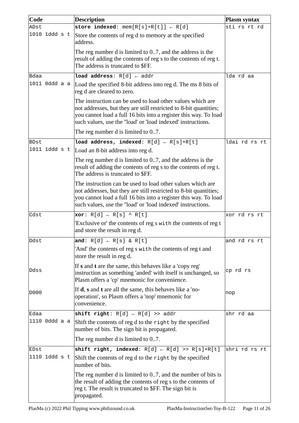| Code          | <b>Description</b>                                                                                                                                                                                                                                                 | <b>Plasm syntax</b> |
|---------------|--------------------------------------------------------------------------------------------------------------------------------------------------------------------------------------------------------------------------------------------------------------------|---------------------|
| ADst          | store indexed: $mem[R[s]+R[t]] \leftarrow R[d]$                                                                                                                                                                                                                    | sti rs rt rd        |
| 1010 1ddd s t | Store the contents of reg d to memory at the specified<br>address.                                                                                                                                                                                                 |                     |
|               | The reg number d is limited to 07, and the address is the<br>result of adding the contents of reg s to the contents of reg t.                                                                                                                                      |                     |
|               | The address is truncated to \$FF.                                                                                                                                                                                                                                  |                     |
| Bdaa          | <b>load address:</b> $R[d] \leftarrow addr$                                                                                                                                                                                                                        | lda rd aa           |
| 1011 Oddd a a | Load the specified 8-bit address into reg d. The ms 8 bits of<br>reg d are cleared to zero.                                                                                                                                                                        |                     |
|               | The instruction can be used to load other values which are<br>not addresses, but they are still restricted to 8-bit quantities;<br>you cannot load a full 16 bits into a register this way. To load<br>such values, use the "load' or 'load indexed' instructions. |                     |
|               | The reg number d is limited to 07.                                                                                                                                                                                                                                 |                     |
| BDst          | load address, indexed: $R[d] \leftarrow R[s]+R[t]$                                                                                                                                                                                                                 | ldai rd rs rt       |
| 1011 1ddd s t | Load an 8-bit address into reg d.                                                                                                                                                                                                                                  |                     |
|               | The reg number d is limited to 07, and the address is the<br>result of adding the contents of reg s to the contents of reg t.<br>The address is truncated to \$FF.                                                                                                 |                     |
|               | The instruction can be used to load other values which are<br>not addresses, but they are still restricted to 8-bit quantities;<br>you cannot load a full 16 bits into a register this way. To load<br>such values, use the "load' or 'load indexed' instructions. |                     |
| ∣Cdst         | <b>xor</b> : $R[d] \leftarrow R[s] \wedge R[t]$                                                                                                                                                                                                                    | xor rd rs rt        |
|               | 'Exclusive or' the contents of reg s with the contents of reg t<br>and store the result in reg d.                                                                                                                                                                  |                     |
| Ddst          | and: $R[d] \leftarrow R[s] \& R[t]$                                                                                                                                                                                                                                | and rd rs rt        |
|               | 'And' the contents of reg s with the contents of reg t and<br>store the result in reg d.                                                                                                                                                                           |                     |
| <b>Ddss</b>   | If s and t are the same, this behaves like a 'copy reg'<br>instruction as something 'anded' with itself is unchanged, so<br>Plasm offers a 'cp' mnemonic for convenience.                                                                                          | cp rd rs            |
| D000          | If $d$ , s and t are all the same, this behaves like a 'no-<br>operation', so Plasm offers a 'nop' mnemonic for<br>convenience.                                                                                                                                    | nop                 |
| Edaa          | shift right: $R[d] \leftarrow R[d] \gg addr$                                                                                                                                                                                                                       | shr rd aa           |
| 1110 Oddd a a | Shift the contents of reg d to the right by the specified<br>number of bits. The sign bit is propagated.                                                                                                                                                           |                     |
|               | The reg number d is limited to 07.                                                                                                                                                                                                                                 |                     |
| EDst          | shift right, indexed: $R[d] \leftarrow R[d] \gg R[s]+R[t]$                                                                                                                                                                                                         | shri rd rs rt       |
| 1110 1ddd s t | Shift the contents of reg d to the right by the specified<br>number of bits.                                                                                                                                                                                       |                     |
|               | The reg number d is limited to 07, and the number of bits is<br>the result of adding the contents of reg s to the contents of<br>reg t. The result is truncated to \$FF. The sign bit is<br>propagated.                                                            |                     |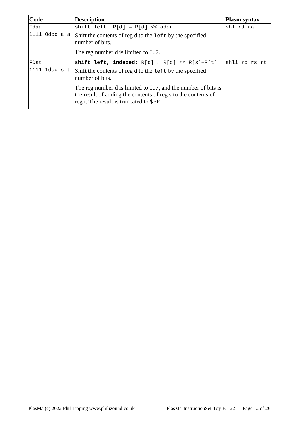| $\mathbf C$ ode | <b>Description</b>                                                                                                                                                       | Plasm syntax  |
|-----------------|--------------------------------------------------------------------------------------------------------------------------------------------------------------------------|---------------|
| Fdaa            | shift left: $R[d] \leftarrow R[d] \leq addr$                                                                                                                             | shl rd aa     |
| 1111 Oddd a a   | Shift the contents of reg d to the left by the specified<br>number of bits.                                                                                              |               |
|                 | The reg number d is limited to 07.                                                                                                                                       |               |
| FDst            | shift left, indexed: $R[d] \leftarrow R[d] \ll R[s]+R[t]$                                                                                                                | shli rd rs rt |
| $1111$ 1ddd s t | Shift the contents of reg d to the left by the specified<br>number of bits.                                                                                              |               |
|                 | The reg number d is limited to 07, and the number of bits is<br>the result of adding the contents of reg s to the contents of<br>reg t. The result is truncated to \$FF. |               |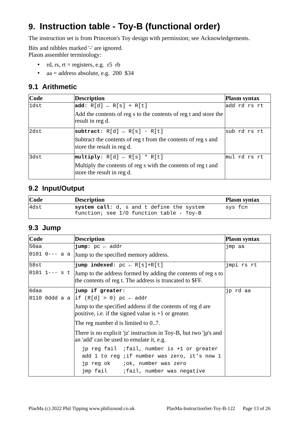# <span id="page-12-3"></span>**9. Instruction table - Toy-B (functional order)**

The instruction set is from Princeton's Toy design with permission; see [Acknowledgements.](#page-3-1)

Bits and nibbles marked '-' are ignored. Plasm assembler terminology:

- rd, rs,  $rt =$  registers, e.g. r5 rb
- aa = address absolute, e.g. 200 \$34

#### <span id="page-12-2"></span>**9.1 Arithmetic**

| $\mathsf{Code}$ | <b>Description</b>                                                                          | Plasm syntax            |
|-----------------|---------------------------------------------------------------------------------------------|-------------------------|
| 1dst            | $ add: R[d] \leftarrow R[s] + R[t]$                                                         | add rd rs rt            |
|                 | Add the contents of reg s to the contents of reg t and store the<br>result in reg d.        |                         |
| 2dst            | $ subtract: R[d] \leftarrow R[s] - R[t]$                                                    | sub rd rs rt            |
|                 | Subtract the contents of reg t from the contents of reg s and<br>store the result in reg d. |                         |
| 3dst            | $ \textsf{multiply: } R[d] \leftarrow R[s]$ * R[t]                                          | $\mathsf{mul}$ rd rs rt |
|                 | Multiply the contents of reg s with the contents of reg t and<br>store the result in reg d. |                         |

#### <span id="page-12-1"></span>**9.2 Input/Output**

| $\mathbf{Code}$ | <b>Description</b>                                                                    | <b>Plasm syntax</b> |
|-----------------|---------------------------------------------------------------------------------------|---------------------|
| $\vert$ 4dst    | system call: d, s and t define the system<br>function; see I/O function table - Toy-B | sys fcn             |

#### <span id="page-12-0"></span>**9.3 Jump**

| Code           | <b>Description</b>                                                                                                                                                      | Plasm syntax |
|----------------|-------------------------------------------------------------------------------------------------------------------------------------------------------------------------|--------------|
| 50aa           | <b>jump</b> : $pc \leftarrow addr$                                                                                                                                      | jmp aa       |
| 0101  0--- a a | Jump to the specified memory address.                                                                                                                                   |              |
| 58st           | <b>jump indexed:</b> $pc \leftarrow R[s]+R[t]$                                                                                                                          | jmpi rs rt   |
|                | $\vert$ 0101 1--- s t $\vert$ Jump to the address formed by adding the contents of reg s to<br>the contents of reg t. The address is truncated to \$FF.                 |              |
| 6daa           | jump if greater:                                                                                                                                                        | jp rd aa     |
|                | 0110 Oddd a a  if (R[d] > 0) pc $\leftarrow$ addr                                                                                                                       |              |
|                | Jump to the specified address if the contents of reg d are<br>positive, i.e. if the signed value is $+1$ or greater.                                                    |              |
|                | The reg number d is limited to 07.                                                                                                                                      |              |
|                | There is no explicit 'jz' instruction in Toy-B, but two 'jp's and<br>an 'add' can be used to emulate it, e.g.                                                           |              |
|                | jp reg fail ; fail, number is +1 or greater<br>add 1 to reg ; if number was zero, it's now 1<br>jp reg ok ; ok, number was zero<br>jmp fail ; fail, number was negative |              |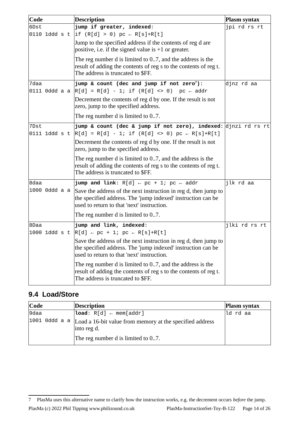| Code          | <b>Description</b>                                                                                                                                                            | Plasm syntax  |
|---------------|-------------------------------------------------------------------------------------------------------------------------------------------------------------------------------|---------------|
| 6Dst          | jump if greater, indexed:                                                                                                                                                     | jpi rd rs rt  |
|               | 0110 1ddd s t  if (R[d] > 0) pc ← R[s]+R[t]                                                                                                                                   |               |
|               | Jump to the specified address if the contents of reg d are<br>positive, i.e. if the signed value is $+1$ or greater.                                                          |               |
|               | The reg number d is limited to 07, and the address is the<br>result of adding the contents of reg s to the contents of reg t.<br>The address is truncated to \$FF.            |               |
| 7daa          | jump & count (dec and jump if not zero <sup>7</sup> ):                                                                                                                        | djnz rd aa    |
| 0111 Oddd a a | $ R[d] = R[d] - 1;$ if $(R[d] < 0)$ pc $\leftarrow$ addr                                                                                                                      |               |
|               | Decrement the contents of reg d by one. If the result is not<br>zero, jump to the specified address.                                                                          |               |
|               | The reg number d is limited to 07.                                                                                                                                            |               |
| 7Dst          | jump & count (dec & jump if not zero), indexed: djnzi rd rs rt                                                                                                                |               |
| 0111 1ddd s t | $ R[d] = R[d] - 1;$ if $(R[d] \iff 0)$ pc $\leftarrow R[s] + R[t]$                                                                                                            |               |
|               | Decrement the contents of reg d by one. If the result is not<br>zero, jump to the specified address.                                                                          |               |
|               | The reg number d is limited to 07, and the address is the<br>result of adding the contents of reg s to the contents of reg t.<br>The address is truncated to \$FF.            |               |
| 8daa          | <b>jump and link</b> : $R[d] \leftarrow pc + 1$ ; $pc \leftarrow addr$                                                                                                        | jlk rd aa     |
| 1000 0ddd a a | Save the address of the next instruction in reg d, then jump to<br>the specified address. The 'jump indexed' instruction can be<br>used to return to that 'next' instruction. |               |
|               | The reg number d is limited to 07.                                                                                                                                            |               |
| 8Daa          | jump and link, indexed:                                                                                                                                                       | jlki rd rs rt |
|               | 1000 1ddd s t $ R[d] \nleftarrow pc + 1$ ; pc ← R[s]+R[t]                                                                                                                     |               |
|               | Save the address of the next instruction in reg d, then jump to<br>the specified address. The 'jump indexed' instruction can be<br>used to return to that 'next' instruction. |               |
|               | The reg number d is limited to 07, and the address is the<br>result of adding the contents of reg s to the contents of reg t.<br>The address is truncated to \$FF.            |               |

#### <span id="page-13-0"></span>**9.4 Load/Store**

| Code | <b>Description</b>                                                                            | <b>Plasm syntax</b> |
|------|-----------------------------------------------------------------------------------------------|---------------------|
| 9daa | $\mathsf{load}: \ \mathsf{R[d]} \ \scriptstyle\leftarrow \ \mathsf{mem}\{\mathsf{addr}\}$     | ld rd aa            |
|      | 1001 0ddd a $\alpha$  Load a 16-bit value from memory at the specified address<br>into reg d. |                     |
|      | The reg number d is limited to 07.                                                            |                     |

<span id="page-13-1"></span><sup>7</sup> PlasMa uses this alternative name to clarify how the instruction works, e.g. the decrement occurs *before* the jump. PlasMa (c) 2022 Phil Tipping www.philizound.co.uk PlasMa-InstructionSet-Toy-B-122 Page 14 of 26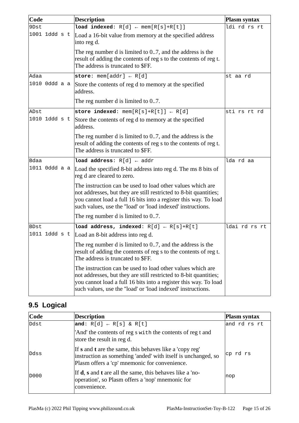| Code          | <b>Description</b>                                                                                                                                                                                                                                                 | <b>Plasm syntax</b> |
|---------------|--------------------------------------------------------------------------------------------------------------------------------------------------------------------------------------------------------------------------------------------------------------------|---------------------|
| 9Dst          | <b>load indexed:</b> $R[d] \leftarrow \text{mem}[R[s]+R[t]]$                                                                                                                                                                                                       | ldi rd rs rt        |
| 1001 1ddd s t | Load a 16-bit value from memory at the specified address<br>into reg d.                                                                                                                                                                                            |                     |
|               | The reg number d is limited to 07, and the address is the<br>result of adding the contents of reg s to the contents of reg t.<br>The address is truncated to \$FF.                                                                                                 |                     |
| Adaa          | store: $mem[addr] \leftarrow R[d]$                                                                                                                                                                                                                                 | st aa rd            |
| 1010 Oddd a a | Store the contents of reg d to memory at the specified<br>address.                                                                                                                                                                                                 |                     |
|               | The reg number d is limited to 07.                                                                                                                                                                                                                                 |                     |
| ADst          | store indexed: $mem[R[s]+R[t]] \leftarrow R[d]$                                                                                                                                                                                                                    | sti rs rt rd        |
| 1010 1ddd s t | Store the contents of reg d to memory at the specified<br>address.                                                                                                                                                                                                 |                     |
|               | The reg number d is limited to 07, and the address is the<br>result of adding the contents of reg s to the contents of reg t.<br>The address is truncated to \$FF.                                                                                                 |                     |
| <b>Bdaa</b>   | <b>load address:</b> $R[d] \leftarrow addr$                                                                                                                                                                                                                        | lda rd aa           |
| 1011 Oddd a a | Load the specified 8-bit address into reg d. The ms 8 bits of<br>reg d are cleared to zero.                                                                                                                                                                        |                     |
|               | The instruction can be used to load other values which are<br>not addresses, but they are still restricted to 8-bit quantities;<br>you cannot load a full 16 bits into a register this way. To load<br>such values, use the "load' or 'load indexed' instructions. |                     |
|               | The reg number d is limited to 07.                                                                                                                                                                                                                                 |                     |
| BDst          | load address, indexed: $R[d] \leftarrow R[s]+R[t]$                                                                                                                                                                                                                 | ldai rd rs rt       |
| 1011 1ddd s t | Load an 8-bit address into reg d.                                                                                                                                                                                                                                  |                     |
|               | The reg number d is limited to 07, and the address is the<br>result of adding the contents of reg s to the contents of reg t.<br>The address is truncated to \$FF.                                                                                                 |                     |
|               | The instruction can be used to load other values which are<br>not addresses, but they are still restricted to 8-bit quantities;<br>you cannot load a full 16 bits into a register this way. To load<br>such values, use the "load' or 'load indexed' instructions. |                     |

#### <span id="page-14-0"></span>**9.5 Logical**

| $\mathbf C$ ode | <b>Description</b>                                                                                                                                                        | <b>Plasm syntax</b> |
|-----------------|---------------------------------------------------------------------------------------------------------------------------------------------------------------------------|---------------------|
| Ddst            | and: $R[d] \leftarrow R[s] \& R[t]$                                                                                                                                       | and rd rs rt        |
|                 | 'And' the contents of reg s with the contents of reg t and<br>store the result in reg d.                                                                                  |                     |
| Ddss            | If s and t are the same, this behaves like a 'copy reg'<br>instruction as something 'anded' with itself is unchanged, so<br>Plasm offers a 'cp' mnemonic for convenience. | cp rd rs            |
| D000            | If <b>d</b> , <b>s</b> and <b>t</b> are all the same, this behaves like a 'no-<br>operation', so Plasm offers a 'nop' mnemonic for<br>convenience.                        | ∣nop                |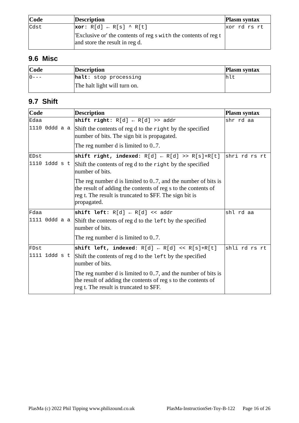| Code        | Description                                                                                      | <b>Plasm syntax</b> |
|-------------|--------------------------------------------------------------------------------------------------|---------------------|
| <b>Cdst</b> | $\vert \text{xor: } R[d] \leftarrow R[s] \wedge R[t]$                                            | xor r d rs rt       |
|             | Exclusive or' the contents of reg s with the contents of reg t<br>and store the result in reg d. |                     |

#### <span id="page-15-1"></span>**9.6 Misc**

| Code           | Description                       | <b>Plasm syntax</b> |
|----------------|-----------------------------------|---------------------|
| $\Theta$ - - - | $\mathsf{halt}$ : stop processing |                     |
|                | The halt light will turn on.      |                     |

#### <span id="page-15-0"></span>**9.7 Shift**

| Code          | <b>Description</b>                                                                                                                                                                                      | <b>Plasm syntax</b> |
|---------------|---------------------------------------------------------------------------------------------------------------------------------------------------------------------------------------------------------|---------------------|
| Edaa          | shift right: $R[d] \leftarrow R[d] \gg addr$                                                                                                                                                            | shr rd aa           |
| 1110 Oddd a a | Shift the contents of reg d to the right by the specified<br>number of bits. The sign bit is propagated.                                                                                                |                     |
|               | The reg number d is limited to 07.                                                                                                                                                                      |                     |
| EDst          | shift right, indexed: $R[d] \leftarrow R[d] \gg R[s]+R[t]$                                                                                                                                              | shri rd rs rt       |
| 1110 1ddd s t | Shift the contents of reg d to the right by the specified<br>number of bits.                                                                                                                            |                     |
|               | The reg number d is limited to 07, and the number of bits is<br>the result of adding the contents of reg s to the contents of<br>reg t. The result is truncated to \$FF. The sign bit is<br>propagated. |                     |
| Fdaa          | shift left: $R[d] \leftarrow R[d] \leq addr$                                                                                                                                                            | shl rd aa           |
| 1111 0ddd a a | Shift the contents of reg d to the left by the specified<br>number of bits.                                                                                                                             |                     |
|               | The reg number d is limited to 07.                                                                                                                                                                      |                     |
| FDst          | shift left, indexed: $R[d] \leftarrow R[d] \leftarrow R[s] + R[t]$                                                                                                                                      | shli rd rs rt       |
| 1111 1ddd s t | Shift the contents of reg d to the left by the specified<br>number of bits.                                                                                                                             |                     |
|               | The reg number d is limited to 07, and the number of bits is<br>the result of adding the contents of reg s to the contents of<br>reg t. The result is truncated to \$FF.                                |                     |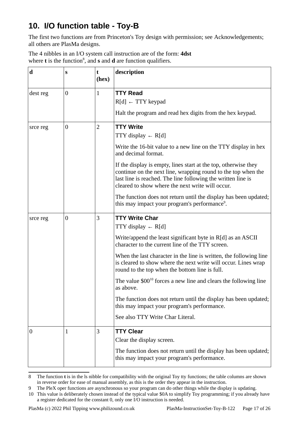# <span id="page-16-4"></span>**10. I/O function table - Toy-B**

The first two functions are from Princeton's Toy design with permission; see [Acknowledgements;](#page-3-1) all others are PlasMa designs.

The 4 nibbles in an I/O system call instruction are of the form: **4dst** where **t** is the function<sup>[8](#page-16-5)</sup>, and **s** and **d** are function qualifiers.

<span id="page-16-3"></span><span id="page-16-2"></span><span id="page-16-1"></span>

| d                | S                | t<br>(hex)     | description                                                                                                                                                                                                                                          |
|------------------|------------------|----------------|------------------------------------------------------------------------------------------------------------------------------------------------------------------------------------------------------------------------------------------------------|
| dest reg         | $\boldsymbol{0}$ | $\mathbf{1}$   | <b>TTY Read</b><br>$R[d] \leftarrow TTY$ keypad                                                                                                                                                                                                      |
|                  |                  |                | Halt the program and read hex digits from the hex keypad.                                                                                                                                                                                            |
| srce reg         | $\boldsymbol{0}$ | $\overline{2}$ | <b>TTY Write</b><br>TTY display $\leftarrow$ R[d]                                                                                                                                                                                                    |
|                  |                  |                | Write the 16-bit value to a new line on the TTY display in hex<br>and decimal format.                                                                                                                                                                |
|                  |                  |                | If the display is empty, lines start at the top, otherwise they<br>continue on the next line, wrapping round to the top when the<br>last line is reached. The line following the written line is<br>cleared to show where the next write will occur. |
|                  |                  |                | The function does not return until the display has been updated;<br>this may impact your program's performance <sup>9</sup> .                                                                                                                        |
| srce reg         | $\boldsymbol{0}$ | 3              | <b>TTY Write Char</b><br>TTY display $\leftarrow$ R[d]                                                                                                                                                                                               |
|                  |                  |                | Write/append the least significant byte in R[d] as an ASCII<br>character to the current line of the TTY screen.                                                                                                                                      |
|                  |                  |                | When the last character in the line is written, the following line<br>is cleared to show where the next write will occur. Lines wrap<br>round to the top when the bottom line is full.                                                               |
|                  |                  |                | The value \$00 <sup>10</sup> forces a new line and clears the following line<br>as above.                                                                                                                                                            |
|                  |                  |                | The function does not return until the display has been updated;<br>this may impact your program's performance.                                                                                                                                      |
|                  |                  |                | See also TTY Write Char Literal.                                                                                                                                                                                                                     |
| $\boldsymbol{0}$ | $\mathbf{1}$     | 3              | <b>TTY Clear</b><br>Clear the display screen.<br>The function does not return until the display has been updated;<br>this may impact your program's performance.                                                                                     |

<span id="page-16-5"></span><span id="page-16-0"></span><sup>8</sup> The function **t** is in the ls nibble for compatibility with the original Toy tty functions; the table columns are shown in reverse order for ease of manual assembly, as this is the order they appear in the instruction.

<span id="page-16-6"></span><sup>9</sup> The PleX oper functions are asynchronous so your program can do other things while the display is updating.

<span id="page-16-7"></span><sup>10</sup> This value is deliberately chosen instead of the typical value \$0A to simplify Toy programming; if you already have a register dedicated for the constant 0, only one I/O instruction is needed.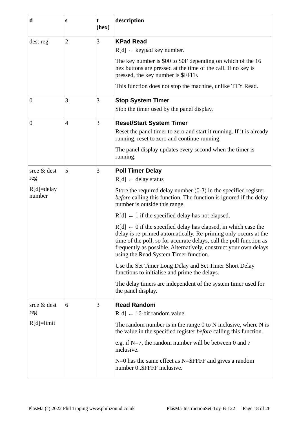<span id="page-17-4"></span><span id="page-17-3"></span><span id="page-17-2"></span><span id="page-17-1"></span><span id="page-17-0"></span>

| $\mathbf d$              | S              | t<br>(hex) | description                                                                                                                                                                                                                                                                                                                      |
|--------------------------|----------------|------------|----------------------------------------------------------------------------------------------------------------------------------------------------------------------------------------------------------------------------------------------------------------------------------------------------------------------------------|
| dest reg                 | $\overline{2}$ | 3          | <b>KPad Read</b>                                                                                                                                                                                                                                                                                                                 |
|                          |                |            | $R[d] \leftarrow \text{keypad key number.}$                                                                                                                                                                                                                                                                                      |
|                          |                |            | The key number is \$00 to \$0F depending on which of the 16<br>hex buttons are pressed at the time of the call. If no key is<br>pressed, the key number is \$FFFF.                                                                                                                                                               |
|                          |                |            | This function does not stop the machine, unlike TTY Read.                                                                                                                                                                                                                                                                        |
| $\boldsymbol{0}$         | 3              | 3          | <b>Stop System Timer</b>                                                                                                                                                                                                                                                                                                         |
|                          |                |            | Stop the timer used by the panel display.                                                                                                                                                                                                                                                                                        |
| $\boldsymbol{0}$         | $\overline{4}$ | 3          | <b>Reset/Start System Timer</b>                                                                                                                                                                                                                                                                                                  |
|                          |                |            | Reset the panel timer to zero and start it running. If it is already<br>running, reset to zero and continue running.                                                                                                                                                                                                             |
|                          |                |            | The panel display updates every second when the timer is<br>running.                                                                                                                                                                                                                                                             |
| srce & dest              | 5              | 3          | <b>Poll Timer Delay</b>                                                                                                                                                                                                                                                                                                          |
| reg                      |                |            | $R[d] \leftarrow$ delay status                                                                                                                                                                                                                                                                                                   |
| $R[d] =$ delay<br>number |                |            | Store the required delay number (0-3) in the specified register<br>before calling this function. The function is ignored if the delay<br>number is outside this range.                                                                                                                                                           |
|                          |                |            | $R[d] \leftarrow 1$ if the specified delay has not elapsed.                                                                                                                                                                                                                                                                      |
|                          |                |            | $R[d] \leftarrow 0$ if the specified delay has elapsed, in which case the<br>delay is re-primed automatically. Re-priming only occurs at the<br>time of the poll, so for accurate delays, call the poll function as<br>frequently as possible. Alternatively, construct your own delays<br>using the Read System Timer function. |
|                          |                |            | Use the Set Timer Long Delay and Set Timer Short Delay<br>functions to initialise and prime the delays.                                                                                                                                                                                                                          |
|                          |                |            | The delay timers are independent of the system timer used for<br>the panel display.                                                                                                                                                                                                                                              |
| srce & dest              | 6              | 3          | <b>Read Random</b>                                                                                                                                                                                                                                                                                                               |
| reg                      |                |            | $R[d] \leftarrow 16$ -bit random value.                                                                                                                                                                                                                                                                                          |
| $R[d]$ =limit            |                |            | The random number is in the range $0$ to $N$ inclusive, where $N$ is<br>the value in the specified register before calling this function.                                                                                                                                                                                        |
|                          |                |            | e.g. if $N=7$ , the random number will be between 0 and 7<br>inclusive.                                                                                                                                                                                                                                                          |
|                          |                |            | $N=0$ has the same effect as $N=\$FFFF$ and gives a random<br>number 0\$FFFF inclusive.                                                                                                                                                                                                                                          |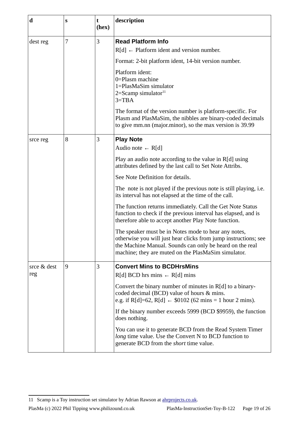<span id="page-18-2"></span><span id="page-18-1"></span>

| $\mathbf d$ | S | t<br>(hex) | description                                                                                                                                                                                                                                |
|-------------|---|------------|--------------------------------------------------------------------------------------------------------------------------------------------------------------------------------------------------------------------------------------------|
| dest reg    | 7 | 3          | <b>Read Platform Info</b>                                                                                                                                                                                                                  |
|             |   |            | $R[d] \leftarrow$ Platform ident and version number.                                                                                                                                                                                       |
|             |   |            | Format: 2-bit platform ident, 14-bit version number.                                                                                                                                                                                       |
|             |   |            | Platform ident:<br>0=Plasm machine<br>1=PlasMaSim simulator<br>$2=$ Scamp simulator $11$<br>$3 = TBA$                                                                                                                                      |
|             |   |            | The format of the version number is platform-specific. For<br>Plasm and PlasMaSim, the nibbles are binary-coded decimals<br>to give mm.nn (major.minor), so the max version is 39.99                                                       |
| srce reg    | 8 | 3          | <b>Play Note</b>                                                                                                                                                                                                                           |
|             |   |            | Audio note $\leftarrow$ R[d]                                                                                                                                                                                                               |
|             |   |            | Play an audio note according to the value in R[d] using<br>attributes defined by the last call to Set Note Attribs.                                                                                                                        |
|             |   |            | See Note Definition for details.                                                                                                                                                                                                           |
|             |   |            | The note is not played if the previous note is still playing, i.e.<br>its interval has not elapsed at the time of the call.                                                                                                                |
|             |   |            | The function returns immediately. Call the Get Note Status<br>function to check if the previous interval has elapsed, and is<br>therefore able to accept another Play Note function.                                                       |
|             |   |            | The speaker must be in Notes mode to hear any notes,<br>otherwise you will just hear clicks from jump instructions; see<br>the Machine Manual. Sounds can only be heard on the real<br>machine; they are muted on the PlasMaSim simulator. |
| srce & dest | 9 | 3          | <b>Convert Mins to BCDHrsMins</b>                                                                                                                                                                                                          |
| reg         |   |            | $R[d]$ BCD hrs mins $\leftarrow R[d]$ mins                                                                                                                                                                                                 |
|             |   |            | Convert the binary number of minutes in R[d] to a binary-<br>coded decimal (BCD) value of hours & mins.<br>e.g. if R[d]=62, R[d] $\leftarrow$ \$0102 (62 mins = 1 hour 2 mins).                                                            |
|             |   |            | If the binary number exceeds 5999 (BCD \$9959), the function<br>does nothing.                                                                                                                                                              |
|             |   |            | You can use it to generate BCD from the Read System Timer<br>long time value. Use the Convert N to BCD function to<br>generate BCD from the <i>short</i> time value.                                                                       |

<span id="page-18-3"></span><span id="page-18-0"></span><sup>11</sup> Scamp is a Toy instruction set simulator by Adrian Rawson at [ahrprojects.co.uk](https://ahrprojects.co.uk/).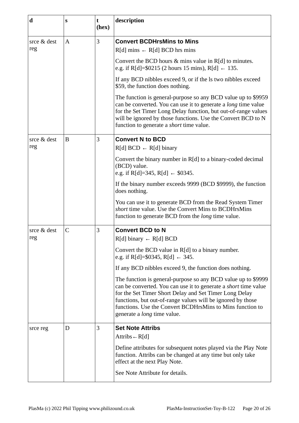<span id="page-19-3"></span><span id="page-19-2"></span><span id="page-19-1"></span><span id="page-19-0"></span>

| $\mathbf d$        | S | t<br>(hex) | description                                                                                                                                                                                                                                                                                                                                                  |
|--------------------|---|------------|--------------------------------------------------------------------------------------------------------------------------------------------------------------------------------------------------------------------------------------------------------------------------------------------------------------------------------------------------------------|
| srce & dest<br>reg | A | 3          | <b>Convert BCDHrsMins to Mins</b><br>$R[d]$ mins $\leftarrow R[d]$ BCD hrs mins                                                                                                                                                                                                                                                                              |
|                    |   |            | Convert the BCD hours & mins value in R[d] to minutes.<br>e.g. if R[d]=\$0215 (2 hours 15 mins), R[d] $\leftarrow$ 135.                                                                                                                                                                                                                                      |
|                    |   |            | If any BCD nibbles exceed 9, or if the ls two nibbles exceed<br>\$59, the function does nothing.                                                                                                                                                                                                                                                             |
|                    |   |            | The function is general-purpose so any BCD value up to \$9959<br>can be converted. You can use it to generate a <i>long</i> time value<br>for the Set Timer Long Delay function, but out-of-range values<br>will be ignored by those functions. Use the Convert BCD to N<br>function to generate a short time value.                                         |
| srce & dest<br>reg | B | 3          | <b>Convert N to BCD</b><br>$R[d] BCD \leftarrow R[d] binary$                                                                                                                                                                                                                                                                                                 |
|                    |   |            | Convert the binary number in R[d] to a binary-coded decimal<br>(BCD) value.<br>e.g. if R[d]=345, R[d] $\leftarrow$ \$0345.                                                                                                                                                                                                                                   |
|                    |   |            | If the binary number exceeds 9999 (BCD \$9999), the function<br>does nothing.                                                                                                                                                                                                                                                                                |
|                    |   |            | You can use it to generate BCD from the Read System Timer<br>short time value. Use the Convert Mins to BCDHrsMins<br>function to generate BCD from the <i>long</i> time value.                                                                                                                                                                               |
| srce & dest        | C | 3          | <b>Convert BCD to N</b>                                                                                                                                                                                                                                                                                                                                      |
| reg                |   |            | $R[d]$ binary $\leftarrow R[d]$ BCD                                                                                                                                                                                                                                                                                                                          |
|                    |   |            | Convert the BCD value in R[d] to a binary number.<br>e.g. if R[d]=\$0345, R[d] $\leftarrow$ 345.                                                                                                                                                                                                                                                             |
|                    |   |            | If any BCD nibbles exceed 9, the function does nothing.                                                                                                                                                                                                                                                                                                      |
|                    |   |            | The function is general-purpose so any BCD value up to \$9999<br>can be converted. You can use it to generate a short time value<br>for the Set Timer Short Delay and Set Timer Long Delay<br>functions, but out-of-range values will be ignored by those<br>functions. Use the Convert BCDHrsMins to Mins function to<br>generate a <i>long</i> time value. |
| srce reg           | D | 3          | <b>Set Note Attribs</b>                                                                                                                                                                                                                                                                                                                                      |
|                    |   |            | Attribs $\leftarrow R[d]$                                                                                                                                                                                                                                                                                                                                    |
|                    |   |            | Define attributes for subsequent notes played via the Play Note<br>function. Attribs can be changed at any time but only take<br>effect at the next Play Note.                                                                                                                                                                                               |
|                    |   |            | See Note Attribute for details.                                                                                                                                                                                                                                                                                                                              |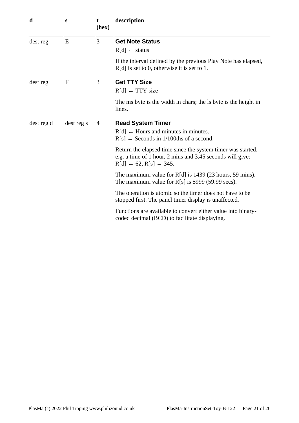<span id="page-20-2"></span><span id="page-20-1"></span><span id="page-20-0"></span>

| $\mathbf d$ | S            | t<br>(hex)     | description                                                                                                                                                                                                                                                                                                                                                                                                                                                                                                                                                                                                                                                          |
|-------------|--------------|----------------|----------------------------------------------------------------------------------------------------------------------------------------------------------------------------------------------------------------------------------------------------------------------------------------------------------------------------------------------------------------------------------------------------------------------------------------------------------------------------------------------------------------------------------------------------------------------------------------------------------------------------------------------------------------------|
| dest reg    | E            | 3              | <b>Get Note Status</b><br>$R[d] \leftarrow$ status<br>If the interval defined by the previous Play Note has elapsed,<br>$R[d]$ is set to 0, otherwise it is set to 1.                                                                                                                                                                                                                                                                                                                                                                                                                                                                                                |
| dest reg    | $\mathbf{F}$ | 3              | <b>Get TTY Size</b><br>$R[d] \leftarrow TTY$ size<br>The ms byte is the width in chars; the ls byte is the height in<br>lines.                                                                                                                                                                                                                                                                                                                                                                                                                                                                                                                                       |
| dest reg d  | dest reg s   | $\overline{4}$ | <b>Read System Timer</b><br>$R[d] \leftarrow$ Hours and minutes in minutes.<br>$R[s] \leftarrow$ Seconds in 1/100ths of a second.<br>Return the elapsed time since the system timer was started.<br>e.g. a time of 1 hour, 2 mins and 3.45 seconds will give:<br>$R[d] \leftarrow 62, R[s] \leftarrow 345.$<br>The maximum value for $R[d]$ is 1439 (23 hours, 59 mins).<br>The maximum value for $R[s]$ is 5999 (59.99 secs).<br>The operation is atomic so the timer does not have to be<br>stopped first. The panel timer display is unaffected.<br>Functions are available to convert either value into binary-<br>coded decimal (BCD) to facilitate displaying. |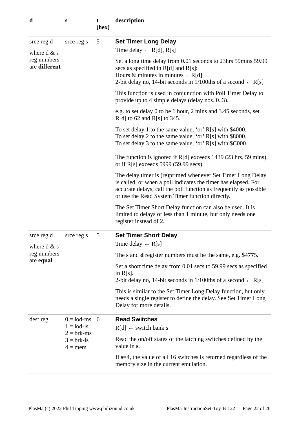<span id="page-21-2"></span><span id="page-21-1"></span><span id="page-21-0"></span>

| $\mathbf d$                  | $\mathbf{s}$                                                 | t<br>(hex) | description                                                                                                                                                                                                                                           |
|------------------------------|--------------------------------------------------------------|------------|-------------------------------------------------------------------------------------------------------------------------------------------------------------------------------------------------------------------------------------------------------|
| srce reg d<br>where $d \& s$ | srce reg s                                                   | 5          | <b>Set Timer Long Delay</b><br>Time delay $\leftarrow$ R[d], R[s]                                                                                                                                                                                     |
| reg numbers<br>are different |                                                              |            | Set a long time delay from 0.01 seconds to 23hrs 59mins 59.99<br>secs as specified in R[d] and R[s]:<br>Hours & minutes in minutes $\leftarrow R[d]$<br>2-bit delay no, 14-bit seconds in 1/100ths of a second $\leftarrow$ R[s]                      |
|                              |                                                              |            | This function is used in conjunction with Poll Timer Delay to<br>provide up to 4 simple delays (delay nos. 03).                                                                                                                                       |
|                              |                                                              |            | e.g. to set delay 0 to be 1 hour, 2 mins and 3.45 seconds, set<br>$R[d]$ to 62 and $R[s]$ to 345.                                                                                                                                                     |
|                              |                                                              |            | To set delay 1 to the same value, 'or' R[s] with \$4000.<br>To set delay 2 to the same value, 'or' R[s] with \$8000.<br>To set delay 3 to the same value, 'or' R[s] with \$C000.                                                                      |
|                              |                                                              |            | The function is ignored if R[d] exceeds 1439 (23 hrs, 59 mins),<br>or if R[s] exceeds 5999 (59.99 secs).                                                                                                                                              |
|                              |                                                              |            | The delay timer is (re)primed whenever Set Timer Long Delay<br>is called, or when a poll indicates the timer has elapsed. For<br>accurate delays, call the poll function as frequently as possible<br>or use the Read System Timer function directly. |
|                              |                                                              |            | The Set Timer Short Delay function can also be used. It is<br>limited to delays of less than 1 minute, but only needs one<br>register instead of 2.                                                                                                   |
| srce reg d<br>where $d \& s$ | srce reg s                                                   | 5          | <b>Set Timer Short Delay</b><br>Time delay $\leftarrow$ R[s]                                                                                                                                                                                          |
| reg numbers<br>are equal     |                                                              |            | The s and d register numbers must be the same, e.g. \$4775.                                                                                                                                                                                           |
|                              |                                                              |            | Set a short time delay from 0.01 secs to 59.99 secs as specified<br>in $R[s]$ .<br>2-bit delay no, 14-bit seconds in 1/100ths of a second $\leftarrow$ R[s]                                                                                           |
|                              |                                                              |            | This is similar to the Set Timer Long Delay function, but only<br>needs a single register to define the delay. See Set Timer Long<br>Delay for more details.                                                                                          |
| dest reg                     | $0 =$ lod-ms<br>$1 =$ lod-ls<br>$2 = brk-ms$<br>$3 =$ brk-ls | 6          | <b>Read Switches</b><br>$R[d] \leftarrow switch bank s$<br>Read the on/off states of the latching switches defined by the<br>value in s.                                                                                                              |
|                              | $4 =$ mem                                                    |            | If $s=4$ , the value of all 16 switches is returned regardless of the<br>memory size in the current emulation.                                                                                                                                        |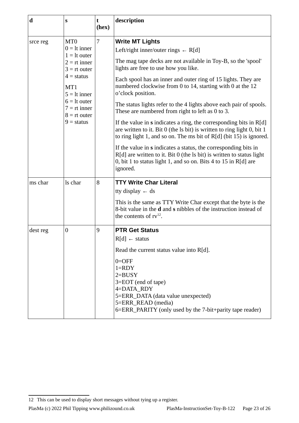<span id="page-22-2"></span><span id="page-22-1"></span>

| $\mathbf d$ | S                                                                                                                                                                                                      | t<br>(hex)     | description                                                                                                                                                                                                                                                                                                                                                                                                                                                                                                                                                                                                                                                                                                                                                                                                                                                                                                            |
|-------------|--------------------------------------------------------------------------------------------------------------------------------------------------------------------------------------------------------|----------------|------------------------------------------------------------------------------------------------------------------------------------------------------------------------------------------------------------------------------------------------------------------------------------------------------------------------------------------------------------------------------------------------------------------------------------------------------------------------------------------------------------------------------------------------------------------------------------------------------------------------------------------------------------------------------------------------------------------------------------------------------------------------------------------------------------------------------------------------------------------------------------------------------------------------|
| srce reg    | MT <sub>0</sub><br>$0 =$ lt inner<br>$1 =$ lt outer<br>$2 = rt$ inner<br>$3 = rt$ outer<br>$4 =$ status<br>MT1<br>$5 =$ It inner<br>$6 =$ It outer<br>$7 = rt$ inner<br>$8 = rt$ outer<br>$9 =$ status | $\overline{7}$ | <b>Write MT Lights</b><br>Left/right inner/outer rings $\leftarrow$ R[d]<br>The mag tape decks are not available in Toy-B, so the 'spool'<br>lights are free to use how you like.<br>Each spool has an inner and outer ring of 15 lights. They are<br>numbered clockwise from 0 to 14, starting with 0 at the 12<br>o'clock position.<br>The status lights refer to the 4 lights above each pair of spools.<br>These are numbered from right to left as 0 to 3.<br>If the value in $s$ indicates a ring, the corresponding bits in $R[d]$<br>are written to it. Bit 0 (the ls bit) is written to ring light 0, bit 1<br>to ring light 1, and so on. The ms bit of R[d] (bit 15) is ignored.<br>If the value in s indicates a status, the corresponding bits in<br>R[d] are written to it. Bit 0 (the ls bit) is written to status light<br>0, bit 1 to status light 1, and so on. Bits 4 to 15 in R[d] are<br>ignored. |
| ms char     | ls char                                                                                                                                                                                                | 8              | <b>TTY Write Char Literal</b><br>tty display $\leftarrow$ ds<br>This is the same as TTY Write Char except that the byte is the<br>8-bit value in the d and s nibbles of the instruction instead of<br>the contents of $rv^{12}$ .                                                                                                                                                                                                                                                                                                                                                                                                                                                                                                                                                                                                                                                                                      |
| dest reg    | $\boldsymbol{0}$                                                                                                                                                                                       | 9              | <b>PTR Get Status</b><br>$R[d] \leftarrow$ status<br>Read the current status value into R[d].<br>$0 = OFF$<br>$1 = RDY$<br>$2 = BUSY$<br>3=EOT (end of tape)<br>4=DATA RDY<br>5=ERR_DATA (data value unexpected)<br>5=ERR_READ (media)<br>6=ERR_PARITY (only used by the 7-bit+parity tape reader)                                                                                                                                                                                                                                                                                                                                                                                                                                                                                                                                                                                                                     |

<span id="page-22-3"></span><span id="page-22-0"></span><sup>12</sup> This can be used to display short messages without tying up a register.

PlasMa (c) 2022 Phil Tipping www.philizound.co.uk PlasMa-InstructionSet-Toy-B-122 Page 23 of 26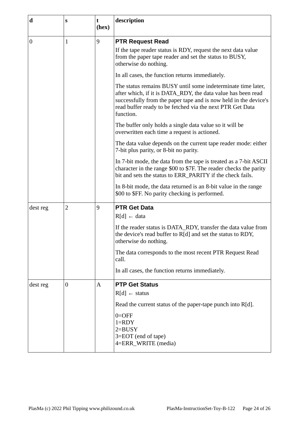<span id="page-23-2"></span><span id="page-23-1"></span><span id="page-23-0"></span>

| d            | S                | t<br>(hex) | description                                                                                                                                                                                                                                                                |
|--------------|------------------|------------|----------------------------------------------------------------------------------------------------------------------------------------------------------------------------------------------------------------------------------------------------------------------------|
| $\mathbf{0}$ | $\mathbf{1}$     | 9          | <b>PTR Request Read</b>                                                                                                                                                                                                                                                    |
|              |                  |            | If the tape reader status is RDY, request the next data value<br>from the paper tape reader and set the status to BUSY,<br>otherwise do nothing.                                                                                                                           |
|              |                  |            | In all cases, the function returns immediately.                                                                                                                                                                                                                            |
|              |                  |            | The status remains BUSY until some indeterminate time later,<br>after which, if it is DATA_RDY, the data value has been read<br>successfully from the paper tape and is now held in the device's<br>read buffer ready to be fetched via the next PTR Get Data<br>function. |
|              |                  |            | The buffer only holds a single data value so it will be<br>overwritten each time a request is actioned.                                                                                                                                                                    |
|              |                  |            | The data value depends on the current tape reader mode: either<br>7-bit plus parity, or 8-bit no parity.                                                                                                                                                                   |
|              |                  |            | In 7-bit mode, the data from the tape is treated as a 7-bit ASCII<br>character in the range \$00 to \$7F. The reader checks the parity<br>bit and sets the status to ERR_PARITY if the check fails.                                                                        |
|              |                  |            | In 8-bit mode, the data returned is an 8-bit value in the range<br>\$00 to \$FF. No parity checking is performed.                                                                                                                                                          |
| dest reg     | $\overline{2}$   | 9          | <b>PTR Get Data</b><br>$R[d] \leftarrow data$                                                                                                                                                                                                                              |
|              |                  |            | If the reader status is DATA_RDY, transfer the data value from<br>the device's read buffer to R[d] and set the status to RDY,<br>otherwise do nothing.                                                                                                                     |
|              |                  |            | The data corresponds to the most recent PTR Request Read<br>call.                                                                                                                                                                                                          |
|              |                  |            | In all cases, the function returns immediately.                                                                                                                                                                                                                            |
| dest reg     | $\boldsymbol{0}$ | A          | <b>PTP Get Status</b><br>$R[d] \leftarrow$ status<br>Read the current status of the paper-tape punch into R[d].<br>$0 =$ OFF<br>$1 = RDY$<br>$2 = BUSY$<br>3=EOT (end of tape)<br>4=ERR_WRITE (media)                                                                      |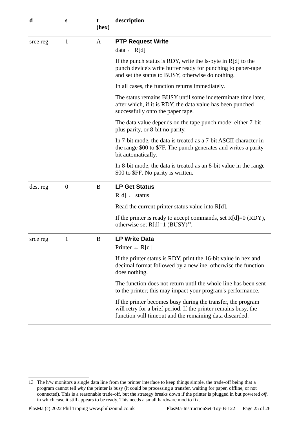<span id="page-24-2"></span><span id="page-24-0"></span>

| $\mathbf d$ | S            | t<br>(hex)       | description                                                                                                                                                                                |
|-------------|--------------|------------------|--------------------------------------------------------------------------------------------------------------------------------------------------------------------------------------------|
|             |              |                  |                                                                                                                                                                                            |
| srce reg    | $\mathbf{1}$ | A                | <b>PTP Request Write</b>                                                                                                                                                                   |
|             |              |                  | data $\leftarrow$ R[d]                                                                                                                                                                     |
|             |              |                  | If the punch status is RDY, write the ls-byte in R[d] to the<br>punch device's write buffer ready for punching to paper-tape<br>and set the status to BUSY, otherwise do nothing.          |
|             |              |                  | In all cases, the function returns immediately.                                                                                                                                            |
|             |              |                  | The status remains BUSY until some indeterminate time later,<br>after which, if it is RDY, the data value has been punched<br>successfully onto the paper tape.                            |
|             |              |                  | The data value depends on the tape punch mode: either 7-bit<br>plus parity, or 8-bit no parity.                                                                                            |
|             |              |                  | In 7-bit mode, the data is treated as a 7-bit ASCII character in<br>the range \$00 to \$7F. The punch generates and writes a parity<br>bit automatically.                                  |
|             |              |                  | In 8-bit mode, the data is treated as an 8-bit value in the range<br>\$00 to \$FF. No parity is written.                                                                                   |
| dest reg    | $\mathbf{0}$ | B                | <b>LP Get Status</b>                                                                                                                                                                       |
|             |              |                  | $R[d] \leftarrow$ status                                                                                                                                                                   |
|             |              |                  | Read the current printer status value into $R[d]$ .                                                                                                                                        |
|             |              |                  | If the printer is ready to accept commands, set $R[d]=0$ (RDY),<br>otherwise set $R[d]=1$ (BUSY) <sup>13</sup> .                                                                           |
| srce reg    | $\mathbf{1}$ | $\boldsymbol{B}$ | <b>LP Write Data</b>                                                                                                                                                                       |
|             |              |                  | Printer $\leftarrow$ R[d]                                                                                                                                                                  |
|             |              |                  | If the printer status is RDY, print the 16-bit value in hex and<br>decimal format followed by a newline, otherwise the function<br>does nothing.                                           |
|             |              |                  | The function does not return until the whole line has been sent<br>to the printer; this may impact your program's performance.                                                             |
|             |              |                  | If the printer becomes busy during the transfer, the program<br>will retry for a brief period. If the printer remains busy, the<br>function will timeout and the remaining data discarded. |

<span id="page-24-3"></span><span id="page-24-1"></span><sup>13</sup> The h/w monitors a single data line from the printer interface to keep things simple, the trade-off being that a program cannot tell *why* the printer is busy (it could be processing a transfer, waiting for paper, offline, or not connected). This is a reasonable trade-off, but the strategy breaks down if the printer is plugged in but powered *off,* in which case it still appears to be ready. This needs a small hardware mod to fix.